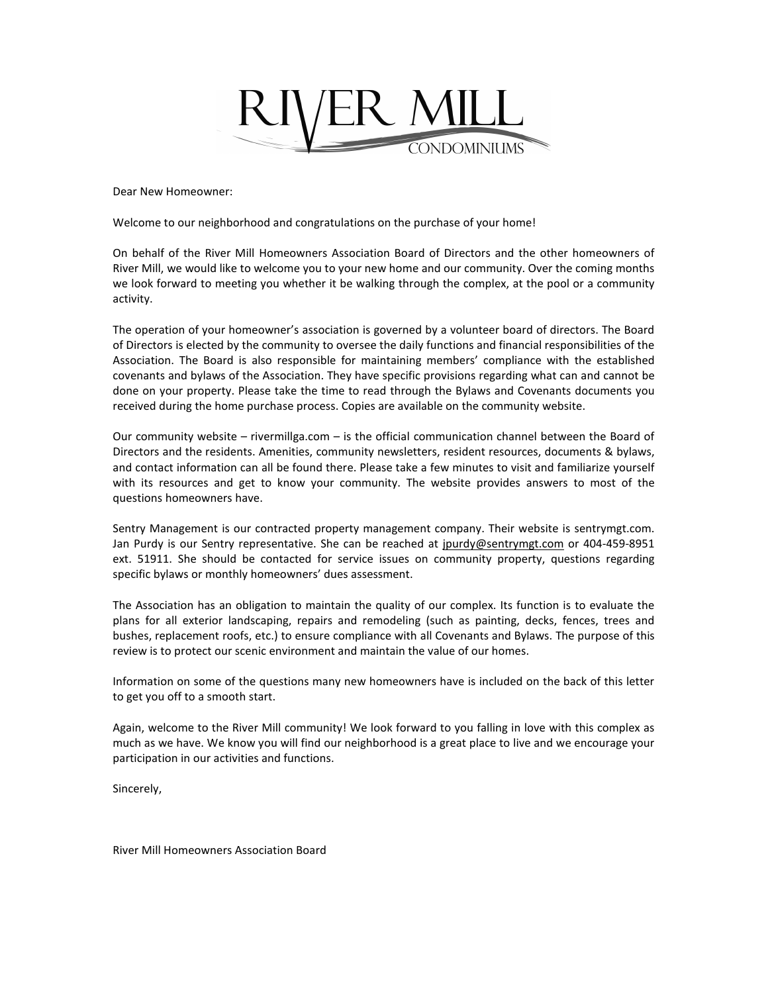

Dear New Homeowner:

Welcome to our neighborhood and congratulations on the purchase of your home!

On behalf of the River Mill Homeowners Association Board of Directors and the other homeowners of River Mill, we would like to welcome you to your new home and our community. Over the coming months we look forward to meeting you whether it be walking through the complex, at the pool or a community activity.

The operation of your homeowner's association is governed by a volunteer board of directors. The Board of Directors is elected by the community to oversee the daily functions and financial responsibilities of the Association. The Board is also responsible for maintaining members' compliance with the established covenants and bylaws of the Association. They have specific provisions regarding what can and cannot be done on your property. Please take the time to read through the Bylaws and Covenants documents you received during the home purchase process. Copies are available on the community website.

Our community website – rivermillga.com – is the official communication channel between the Board of Directors and the residents. Amenities, community newsletters, resident resources, documents & bylaws, and contact information can all be found there. Please take a few minutes to visit and familiarize yourself with its resources and get to know your community. The website provides answers to most of the questions homeowners have.

Sentry Management is our contracted property management company. Their website is sentrymgt.com. Jan Purdy is our Sentry representative. She can be reached at jpurdy@sentrymgt.com or 404-459-8951 ext. 51911. She should be contacted for service issues on community property, questions regarding specific bylaws or monthly homeowners' dues assessment.

The Association has an obligation to maintain the quality of our complex. Its function is to evaluate the plans for all exterior landscaping, repairs and remodeling (such as painting, decks, fences, trees and bushes, replacement roofs, etc.) to ensure compliance with all Covenants and Bylaws. The purpose of this review is to protect our scenic environment and maintain the value of our homes.

Information on some of the questions many new homeowners have is included on the back of this letter to get you off to a smooth start.

Again, welcome to the River Mill community! We look forward to you falling in love with this complex as much as we have. We know you will find our neighborhood is a great place to live and we encourage your participation in our activities and functions.

Sincerely,

River Mill Homeowners Association Board